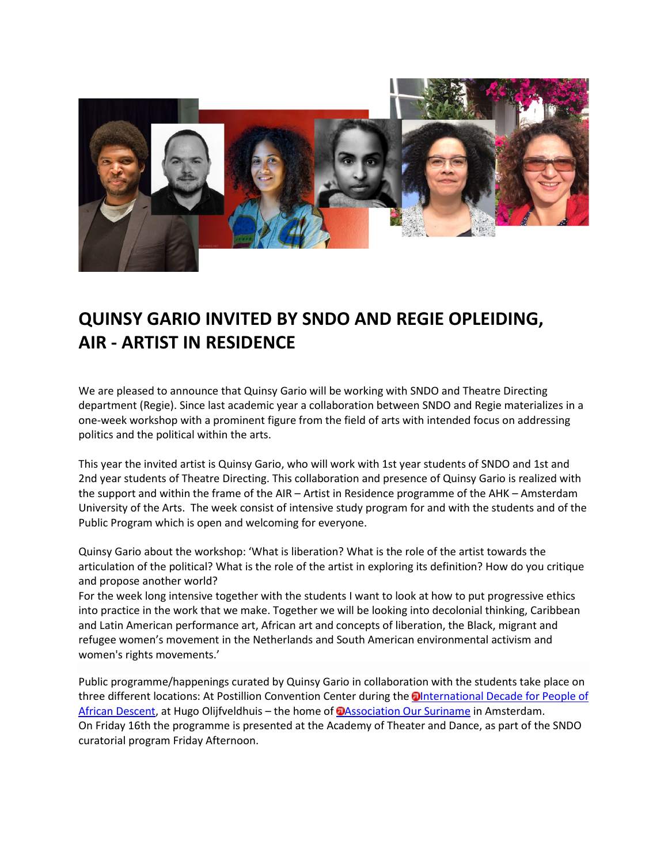

## **QUINSY GARIO INVITED BY SNDO AND REGIE OPLEIDING, AIR - ARTIST IN RESIDENCE**

We are pleased to announce that Quinsy Gario will be working with SNDO and Theatre Directing department (Regie). Since last academic year a collaboration between SNDO and Regie materializes in a one-week workshop with a prominent figure from the field of arts with intended focus on addressing politics and the political within the arts.

This year the invited artist is Quinsy Gario, who will work with 1st year students of SNDO and 1st and 2nd year students of Theatre Directing. This collaboration and presence of Quinsy Gario is realized with the support and within the frame of the AIR – Artist in Residence programme of the AHK – Amsterdam University of the Arts. The week consist of intensive study program for and with the students and of the Public Program which is open and welcoming for everyone.

Quinsy Gario about the workshop: 'What is liberation? What is the role of the artist towards the articulation of the political? What is the role of the artist in exploring its definition? How do you critique and propose another world?

For the week long intensive together with the students I want to look at how to put progressive ethics into practice in the work that we make. Together we will be looking into decolonial thinking, Caribbean and Latin American performance art, African art and concepts of liberation, the Black, migrant and refugee women's movement in the Netherlands and South American environmental activism and women's rights movements.'

Public programme/happenings curated by Quinsy Gario in collaboration with the students take place on three different locations: At Postillion Convention Center during the **Onternational Decade for People of** [African Descent,](http://www.africandescent.nl/home/subscribe?survey_id=79524) at Hugo Olijfveldhuis – the home of **D**Association Our Suriname in Amsterdam. On Friday 16th the programme is presented at the Academy of Theater and Dance, as part of the SNDO curatorial program Friday Afternoon.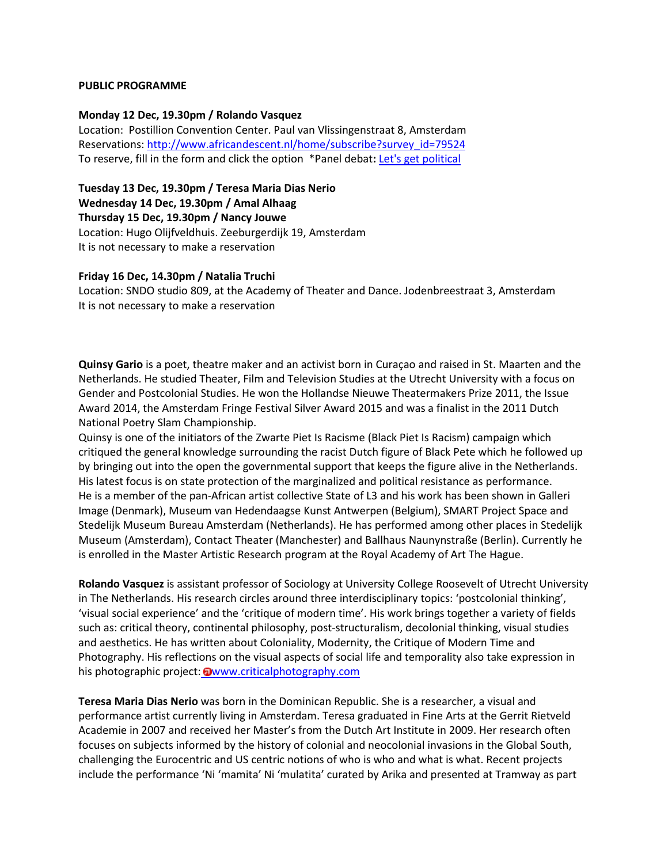## **PUBLIC PROGRAMME**

## **Monday 12 Dec, 19.30pm / Rolando Vasquez**

Location: Postillion Convention Center. Paul van Vlissingenstraat 8, Amsterdam Reservations: [http://www.africandescent.nl/home/subscribe?survey\\_id=79524](http://www.africandescent.nl/home/subscribe?survey_id=79524) To reserve, fill in the form and click the option \*Panel debat**:** [Let's get political](http://www.africandescent.nl/home/wiki/231745/nieuwe%20pagina)

**Tuesday 13 Dec, 19.30pm / Teresa Maria Dias Nerio Wednesday 14 Dec, 19.30pm / Amal Alhaag Thursday 15 Dec, 19.30pm / Nancy Jouwe** Location: Hugo Olijfveldhuis. Zeeburgerdijk 19, Amsterdam It is not necessary to make a reservation

## **Friday 16 Dec, 14.30pm / Natalia Truchi**

Location: SNDO studio 809, at the Academy of Theater and Dance. Jodenbreestraat 3, Amsterdam It is not necessary to make a reservation

**Quinsy Gario** is a poet, theatre maker and an activist born in Curaçao and raised in St. Maarten and the Netherlands. He studied Theater, Film and Television Studies at the Utrecht University with a focus on Gender and Postcolonial Studies. He won the Hollandse Nieuwe Theatermakers Prize 2011, the Issue Award 2014, the Amsterdam Fringe Festival Silver Award 2015 and was a finalist in the 2011 Dutch National Poetry Slam Championship.

Quinsy is one of the initiators of the Zwarte Piet Is Racisme (Black Piet Is Racism) campaign which critiqued the general knowledge surrounding the racist Dutch figure of Black Pete which he followed up by bringing out into the open the governmental support that keeps the figure alive in the Netherlands. His latest focus is on state protection of the marginalized and political resistance as performance. He is a member of the pan-African artist collective State of L3 and his work has been shown in Galleri Image (Denmark), Museum van Hedendaagse Kunst Antwerpen (Belgium), SMART Project Space and Stedelijk Museum Bureau Amsterdam (Netherlands). He has performed among other places in Stedelijk Museum (Amsterdam), Contact Theater (Manchester) and Ballhaus Naunynstraße (Berlin). Currently he is enrolled in the Master Artistic Research program at the Royal Academy of Art The Hague.

**Rolando Vasquez** is assistant professor of Sociology at University College Roosevelt of Utrecht University in The Netherlands. His research circles around three interdisciplinary topics: 'postcolonial thinking', 'visual social experience' and the 'critique of modern time'. His work brings together a variety of fields such as: critical theory, continental philosophy, post-structuralism, decolonial thinking, visual studies and aesthetics. He has written about Coloniality, Modernity, the Critique of Modern Time and Photography. His reflections on the visual aspects of social life and temporality also take expression in his photographic project: **O[www.criticalphotography.com](http://www.criticalphotography.com/)** 

**Teresa Maria Dias Nerio** was born in the Dominican Republic. She is a researcher, a visual and performance artist currently living in Amsterdam. Teresa graduated in Fine Arts at the Gerrit Rietveld Academie in 2007 and received her Master's from the Dutch Art Institute in 2009. Her research often focuses on subjects informed by the history of colonial and neocolonial invasions in the Global South, challenging the Eurocentric and US centric notions of who is who and what is what. Recent projects include the performance 'Ni 'mamita' Ni 'mulatita' curated by Arika and presented at Tramway as part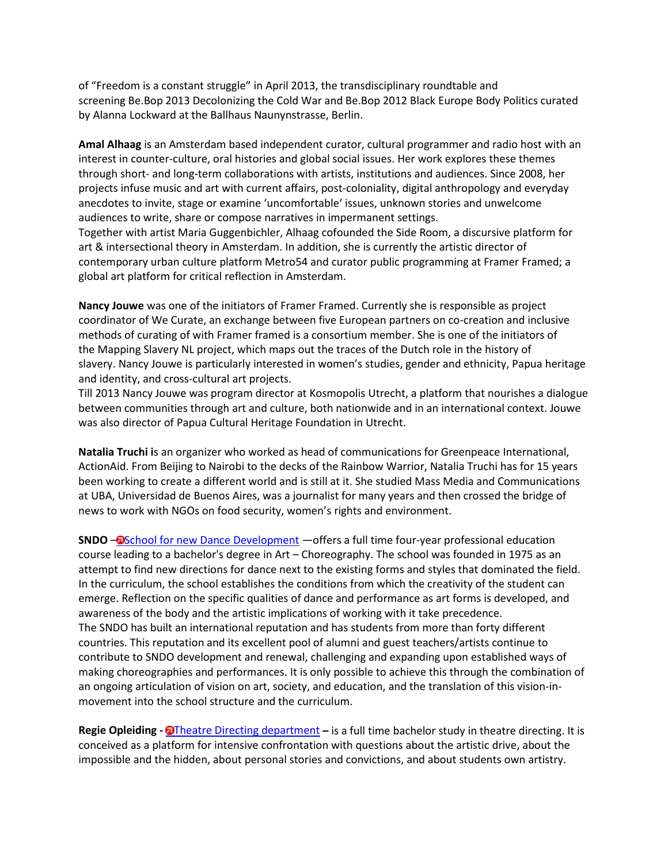of "Freedom is a constant struggle" in April 2013, the transdisciplinary roundtable and screening Be.Bop 2013 Decolonizing the Cold War and Be.Bop 2012 Black Europe Body Politics curated by Alanna Lockward at the Ballhaus Naunynstrasse, Berlin.

**Amal Alhaag** is an Amsterdam based independent curator, cultural programmer and radio host with an interest in counter-culture, oral histories and global social issues. Her work explores these themes through short- and long-term collaborations with artists, institutions and audiences. Since 2008, her projects infuse music and art with current affairs, post-coloniality, digital anthropology and everyday anecdotes to invite, stage or examine 'uncomfortable' issues, unknown stories and unwelcome audiences to write, share or compose narratives in impermanent settings. Together with artist Maria Guggenbichler, Alhaag cofounded the Side Room, a discursive platform for

art & intersectional theory in Amsterdam. In addition, she is currently the artistic director of contemporary urban culture platform Metro54 and curator public programming at Framer Framed; a global art platform for critical reflection in Amsterdam.

**Nancy Jouwe** was one of the initiators of Framer Framed. Currently she is responsible as project coordinator of We Curate, an exchange between five European partners on co-creation and inclusive methods of curating of with Framer framed is a consortium member. She is one of the initiators of the Mapping Slavery NL project, which maps out the traces of the Dutch role in the history of slavery. Nancy Jouwe is particularly interested in women's studies, gender and ethnicity, Papua heritage and identity, and cross-cultural art projects.

Till 2013 Nancy Jouwe was program director at Kosmopolis Utrecht, a platform that nourishes a dialogue between communities through art and culture, both nationwide and in an international context. Jouwe was also director of Papua Cultural Heritage Foundation in Utrecht.

**Natalia Truchi i**s an organizer who worked as head of communications for Greenpeace International, ActionAid. From Beijing to Nairobi to the decks of the Rainbow Warrior, Natalia Truchi has for 15 years been working to create a different world and is still at it. She studied Mass Media and Communications at UBA, Universidad de Buenos Aires, was a journalist for many years and then crossed the bridge of news to work with NGOs on food security, women's rights and environment.

**SNDO - O** [School for new Dance Development](http://www.ahk.nl/en/atd/dance-programmes/sndo/about-sndo/) - offers a full time four-year professional education course leading to a bachelor's degree in Art – Choreography. The school was founded in 1975 as an attempt to find new directions for dance next to the existing forms and styles that dominated the field. In the curriculum, the school establishes the conditions from which the creativity of the student can emerge. Reflection on the specific qualities of dance and performance as art forms is developed, and awareness of the body and the artistic implications of working with it take precedence. The SNDO has built an international reputation and has students from more than forty different countries. This reputation and its excellent pool of alumni and guest teachers/artists continue to contribute to SNDO development and renewal, challenging and expanding upon established ways of making choreographies and performances. It is only possible to achieve this through the combination of an ongoing articulation of vision on art, society, and education, and the translation of this vision-inmovement into the school structure and the curriculum.

**Regie Opleiding - O**[Theatre Directing department](http://www.ahk.nl/en/atd/theatre-programmes/theatre-directing/) – is a full time bachelor study in theatre directing. It is conceived as a platform for intensive confrontation with questions about the artistic drive, about the impossible and the hidden, about personal stories and convictions, and about students own artistry.